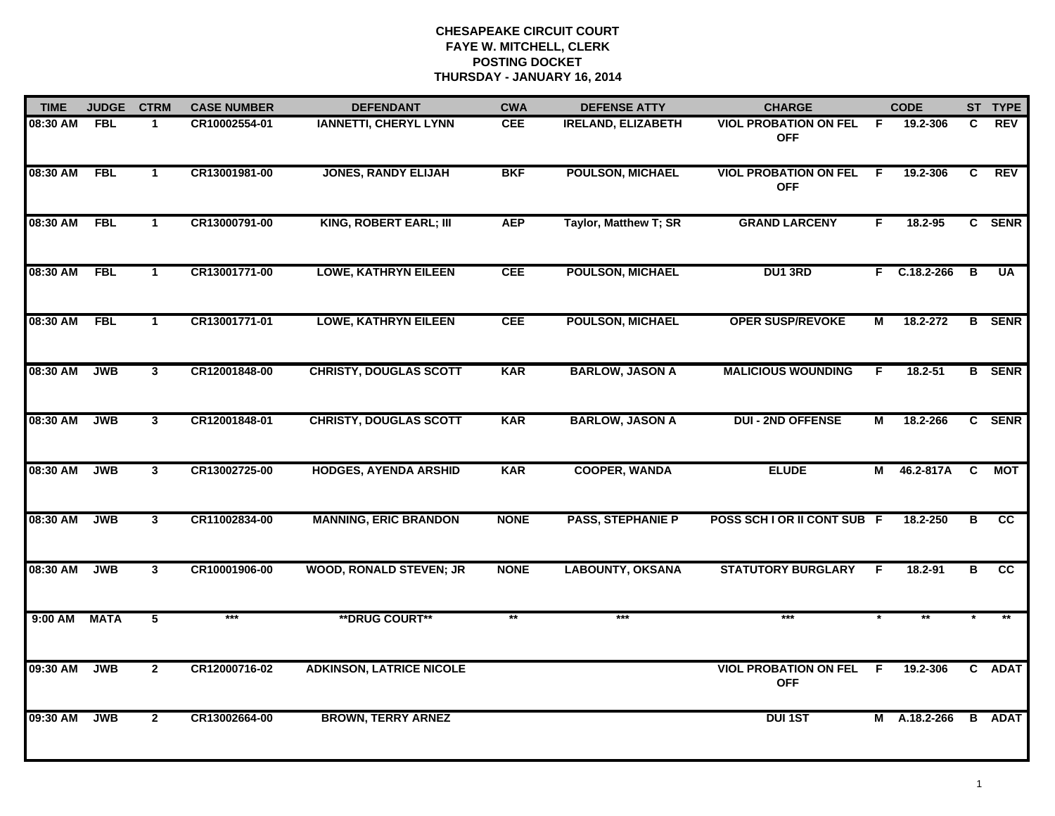| <b>TIME</b> | <b>JUDGE</b> | <b>CTRM</b>    | <b>CASE NUMBER</b> | <b>DEFENDANT</b>                | <b>CWA</b>  | <b>DEFENSE ATTY</b>       | <b>CHARGE</b>                              |                | <b>CODE</b>              |    | ST TYPE       |
|-------------|--------------|----------------|--------------------|---------------------------------|-------------|---------------------------|--------------------------------------------|----------------|--------------------------|----|---------------|
| 08:30 AM    | <b>FBL</b>   |                | CR10002554-01      | <b>IANNETTI, CHERYL LYNN</b>    | <b>CEE</b>  | <b>IRELAND, ELIZABETH</b> | <b>VIOL PROBATION ON FEL</b><br><b>OFF</b> | -F             | 19.2-306                 | C. | REV           |
| 08:30 AM    | <b>FBL</b>   | $\mathbf 1$    | CR13001981-00      | <b>JONES, RANDY ELIJAH</b>      | <b>BKF</b>  | <b>POULSON, MICHAEL</b>   | <b>VIOL PROBATION ON FEL</b><br><b>OFF</b> | F.             | 19.2-306                 | C. | <b>REV</b>    |
| 08:30 AM    | <b>FBL</b>   | $\mathbf{1}$   | CR13000791-00      | <b>KING, ROBERT EARL; III</b>   | <b>AEP</b>  | Taylor, Matthew T; SR     | <b>GRAND LARCENY</b>                       | F.             | $18.2 - 95$              |    | C SENR        |
| 08:30 AM    | <b>FBL</b>   | $\mathbf 1$    | CR13001771-00      | <b>LOWE, KATHRYN EILEEN</b>     | <b>CEE</b>  | <b>POULSON, MICHAEL</b>   | <b>DU1 3RD</b>                             |                | $F$ C.18.2-266           | B  | <b>UA</b>     |
| 08:30 AM    | <b>FBL</b>   | $\mathbf{1}$   | CR13001771-01      | <b>LOWE, KATHRYN EILEEN</b>     | <b>CEE</b>  | <b>POULSON, MICHAEL</b>   | <b>OPER SUSP/REVOKE</b>                    | М              | 18.2-272                 |    | <b>B</b> SENR |
| 08:30 AM    | <b>JWB</b>   | $\overline{3}$ | CR12001848-00      | <b>CHRISTY, DOUGLAS SCOTT</b>   | <b>KAR</b>  | <b>BARLOW, JASON A</b>    | <b>MALICIOUS WOUNDING</b>                  | F.             | $18.2 - 51$              |    | <b>B</b> SENR |
| 08:30 AM    | <b>JWB</b>   | $\overline{3}$ | CR12001848-01      | <b>CHRISTY, DOUGLAS SCOTT</b>   | <b>KAR</b>  | <b>BARLOW, JASON A</b>    | <b>DUI - 2ND OFFENSE</b>                   | $\overline{M}$ | 18.2-266                 |    | C SENR        |
| 08:30 AM    | <b>JWB</b>   | $\mathbf{3}$   | CR13002725-00      | <b>HODGES, AYENDA ARSHID</b>    | <b>KAR</b>  | <b>COOPER, WANDA</b>      | <b>ELUDE</b>                               | М              | 46.2-817A                | C  | МОТ           |
| 08:30 AM    | <b>JWB</b>   | $\mathbf{3}$   | CR11002834-00      | <b>MANNING, ERIC BRANDON</b>    | <b>NONE</b> | <b>PASS, STEPHANIE P</b>  | POSS SCH I OR II CONT SUB F                |                | 18.2-250                 | в  | cc            |
| 08:30 AM    | <b>JWB</b>   | 3              | CR10001906-00      | <b>WOOD, RONALD STEVEN; JR</b>  | <b>NONE</b> | <b>LABOUNTY, OKSANA</b>   | <b>STATUTORY BURGLARY</b>                  | F              | $18.2 - 91$              | B  | cc            |
| $9:00$ AM   | <b>MATA</b>  | $\overline{5}$ | $***$              | <b>**DRUG COURT**</b>           | $**$        | $***$                     | ***                                        |                | $\overline{\phantom{0}}$ |    |               |
| 09:30 AM    | <b>JWB</b>   | $\overline{2}$ | CR12000716-02      | <b>ADKINSON, LATRICE NICOLE</b> |             |                           | <b>VIOL PROBATION ON FEL</b><br><b>OFF</b> | F.             | 19.2-306                 |    | C ADAT        |
| 09:30 AM    | <b>JWB</b>   | $\mathbf{2}$   | CR13002664-00      | <b>BROWN, TERRY ARNEZ</b>       |             |                           | <b>DUI 1ST</b>                             | М              | A.18.2-266               | B  | <b>ADAT</b>   |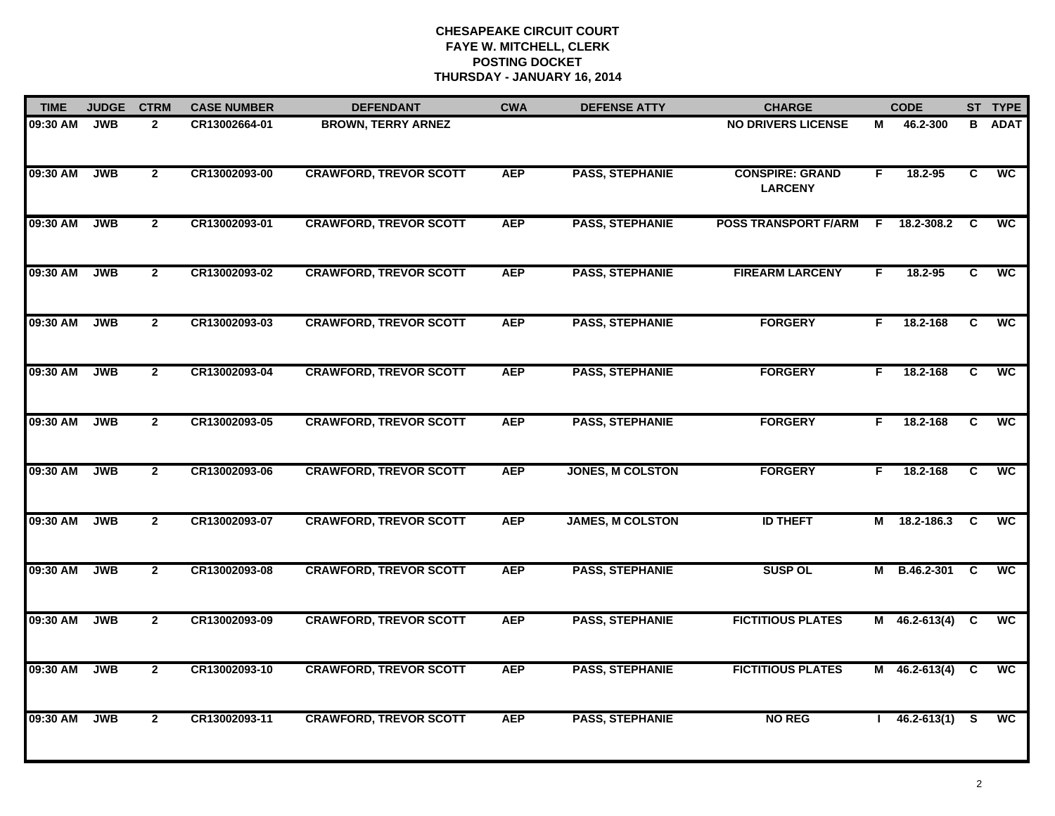| <b>TIME</b> | <b>JUDGE</b> | <b>CTRM</b>    | <b>CASE NUMBER</b> | <b>DEFENDANT</b>              | <b>CWA</b> | <b>DEFENSE ATTY</b>     | <b>CHARGE</b>                            |    | <b>CODE</b>         |          | ST TYPE                  |
|-------------|--------------|----------------|--------------------|-------------------------------|------------|-------------------------|------------------------------------------|----|---------------------|----------|--------------------------|
| 09:30 AM    | <b>JWB</b>   | $\overline{2}$ | CR13002664-01      | <b>BROWN, TERRY ARNEZ</b>     |            |                         | <b>NO DRIVERS LICENSE</b>                | м  | 46.2-300            | В        | <b>ADAT</b>              |
| 09:30 AM    | <b>JWB</b>   | $\overline{2}$ | CR13002093-00      | <b>CRAWFORD, TREVOR SCOTT</b> | <b>AEP</b> | <b>PASS, STEPHANIE</b>  | <b>CONSPIRE: GRAND</b><br><b>LARCENY</b> | F. | 18.2-95             | C        | $\overline{wc}$          |
| 09:30 AM    | <b>JWB</b>   | $\mathbf{2}$   | CR13002093-01      | <b>CRAWFORD, TREVOR SCOTT</b> | <b>AEP</b> | <b>PASS, STEPHANIE</b>  | <b>POSS TRANSPORT F/ARM</b>              | F. | 18.2-308.2          | C        | $\overline{\mathsf{wc}}$ |
| 09:30 AM    | <b>JWB</b>   | $\mathbf{2}$   | CR13002093-02      | <b>CRAWFORD, TREVOR SCOTT</b> | <b>AEP</b> | <b>PASS, STEPHANIE</b>  | <b>FIREARM LARCENY</b>                   | F  | 18.2-95             | C        | <b>WC</b>                |
| 09:30 AM    | <b>JWB</b>   | $\overline{2}$ | CR13002093-03      | <b>CRAWFORD, TREVOR SCOTT</b> | <b>AEP</b> | <b>PASS, STEPHANIE</b>  | <b>FORGERY</b>                           | F. | 18.2-168            | C        | <b>WC</b>                |
| 09:30 AM    | <b>JWB</b>   | $\mathbf{2}$   | CR13002093-04      | <b>CRAWFORD, TREVOR SCOTT</b> | <b>AEP</b> | <b>PASS, STEPHANIE</b>  | <b>FORGERY</b>                           | F. | 18.2-168            | C        | <b>WC</b>                |
| 09:30 AM    | <b>JWB</b>   | $\mathbf{2}$   | CR13002093-05      | <b>CRAWFORD, TREVOR SCOTT</b> | <b>AEP</b> | <b>PASS, STEPHANIE</b>  | <b>FORGERY</b>                           | F. | 18.2-168            | C        | <b>WC</b>                |
| 09:30 AM    | <b>JWB</b>   | $\mathbf{2}$   | CR13002093-06      | <b>CRAWFORD, TREVOR SCOTT</b> | <b>AEP</b> | JONES, M COLSTON        | <b>FORGERY</b>                           | F. | 18.2-168            | C        | $\overline{wc}$          |
| 09:30 AM    | <b>JWB</b>   | $\mathbf{2}$   | CR13002093-07      | <b>CRAWFORD, TREVOR SCOTT</b> | <b>AEP</b> | <b>JAMES, M COLSTON</b> | <b>ID THEFT</b>                          | Μ  | 18.2-186.3          | C        | <b>WC</b>                |
| 09:30 AM    | <b>JWB</b>   | $\overline{2}$ | CR13002093-08      | <b>CRAWFORD, TREVOR SCOTT</b> | <b>AEP</b> | <b>PASS, STEPHANIE</b>  | <b>SUSP OL</b>                           |    | M B.46.2-301        | <b>C</b> | <b>WC</b>                |
| 09:30 AM    | <b>JWB</b>   | $\overline{2}$ | CR13002093-09      | <b>CRAWFORD, TREVOR SCOTT</b> | <b>AEP</b> | <b>PASS, STEPHANIE</b>  | <b>FICTITIOUS PLATES</b>                 |    | M $46.2 - 613(4)$ C |          | <b>WC</b>                |
| 09:30 AM    | <b>JWB</b>   | $\overline{2}$ | CR13002093-10      | <b>CRAWFORD, TREVOR SCOTT</b> | <b>AEP</b> | <b>PASS, STEPHANIE</b>  | <b>FICTITIOUS PLATES</b>                 |    | $M$ 46.2-613(4)     | C        | <b>WC</b>                |
| 09:30 AM    | <b>JWB</b>   | $\mathbf{2}$   | CR13002093-11      | <b>CRAWFORD, TREVOR SCOTT</b> | <b>AEP</b> | <b>PASS, STEPHANIE</b>  | <b>NO REG</b>                            |    | $146.2 - 613(1)$    |          | <b>WC</b>                |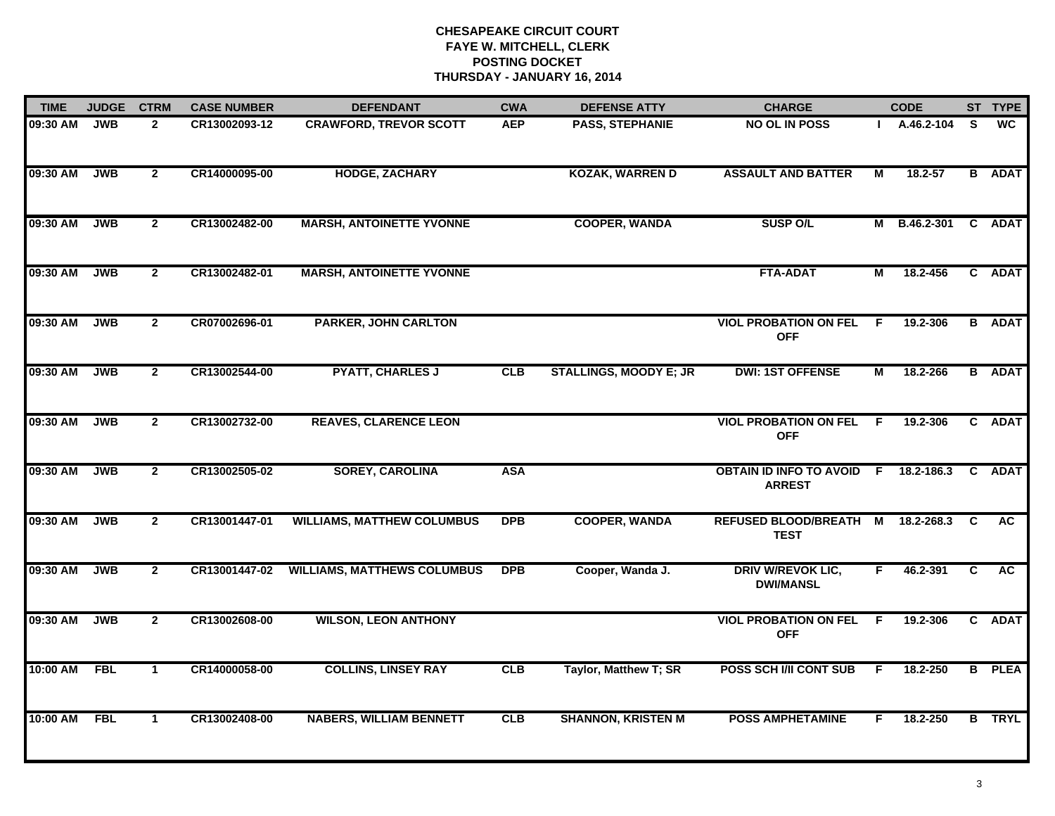| <b>TIME</b> | <b>JUDGE</b> | <b>CTRM</b>    | <b>CASE NUMBER</b> | <b>DEFENDANT</b>                   | <b>CWA</b> | <b>DEFENSE ATTY</b>           | <b>CHARGE</b>                                     |     | <b>CODE</b> |    | ST TYPE       |
|-------------|--------------|----------------|--------------------|------------------------------------|------------|-------------------------------|---------------------------------------------------|-----|-------------|----|---------------|
| 09:30 AM    | <b>JWB</b>   | $\overline{2}$ | CR13002093-12      | <b>CRAWFORD, TREVOR SCOTT</b>      | <b>AEP</b> | <b>PASS, STEPHANIE</b>        | <b>NO OL IN POSS</b>                              |     | A.46.2-104  | S. | <b>WC</b>     |
| 09:30 AM    | JWB          | $\overline{2}$ | CR14000095-00      | <b>HODGE, ZACHARY</b>              |            | <b>KOZAK, WARREN D</b>        | <b>ASSAULT AND BATTER</b>                         | М   | 18.2-57     |    | <b>B</b> ADAT |
| 09:30 AM    | <b>JWB</b>   | $\overline{2}$ | CR13002482-00      | <b>MARSH, ANTOINETTE YVONNE</b>    |            | <b>COOPER, WANDA</b>          | <b>SUSP O/L</b>                                   | M   | B.46.2-301  |    | C ADAT        |
| 09:30 AM    | <b>JWB</b>   | $\mathbf{2}$   | CR13002482-01      | <b>MARSH, ANTOINETTE YVONNE</b>    |            |                               | <b>FTA-ADAT</b>                                   | М   | 18.2-456    |    | C ADAT        |
| 09:30 AM    | <b>JWB</b>   | $\mathbf{2}$   | CR07002696-01      | <b>PARKER, JOHN CARLTON</b>        |            |                               | <b>VIOL PROBATION ON FEL</b><br><b>OFF</b>        | F.  | 19.2-306    |    | <b>B</b> ADAT |
| 09:30 AM    | <b>JWB</b>   | $\mathbf{2}$   | CR13002544-00      | <b>PYATT, CHARLES J</b>            | <b>CLB</b> | <b>STALLINGS, MOODY E; JR</b> | <b>DWI: 1ST OFFENSE</b>                           | М   | 18.2-266    |    | <b>B</b> ADAT |
| 09:30 AM    | JWB          | $\overline{2}$ | CR13002732-00      | <b>REAVES, CLARENCE LEON</b>       |            |                               | <b>VIOL PROBATION ON FEL</b><br><b>OFF</b>        | - F | 19.2-306    |    | C ADAT        |
| 09:30 AM    | <b>JWB</b>   | $\overline{2}$ | CR13002505-02      | <b>SOREY, CAROLINA</b>             | <b>ASA</b> |                               | <b>OBTAIN ID INFO TO AVOID F</b><br><b>ARREST</b> |     | 18.2-186.3  |    | C ADAT        |
| 09:30 AM    | <b>JWB</b>   | $\mathbf{2}$   | CR13001447-01      | <b>WILLIAMS, MATTHEW COLUMBUS</b>  | <b>DPB</b> | <b>COOPER, WANDA</b>          | <b>REFUSED BLOOD/BREATH M</b><br><b>TEST</b>      |     | 18.2-268.3  | C  | <b>AC</b>     |
| 09:30 AM    | <b>JWB</b>   | $\mathbf{2}$   | CR13001447-02      | <b>WILLIAMS, MATTHEWS COLUMBUS</b> | <b>DPB</b> | Cooper, Wanda J.              | <b>DRIV W/REVOK LIC,</b><br><b>DWI/MANSL</b>      | F.  | 46.2-391    | C  | <b>AC</b>     |
| 09:30 AM    | <b>JWB</b>   | $\mathbf{2}$   | CR13002608-00      | <b>WILSON, LEON ANTHONY</b>        |            |                               | <b>VIOL PROBATION ON FEL</b><br><b>OFF</b>        | -F. | 19.2-306    |    | C ADAT        |
| 10:00 AM    | <b>FBL</b>   | $\mathbf{1}$   | CR14000058-00      | <b>COLLINS, LINSEY RAY</b>         | <b>CLB</b> | Taylor, Matthew T; SR         | POSS SCH I/II CONT SUB                            | F.  | 18.2-250    |    | <b>B</b> PLEA |
| 10:00 AM    | FBL          | $\mathbf{1}$   | CR13002408-00      | <b>NABERS, WILLIAM BENNETT</b>     | CLB        | <b>SHANNON, KRISTEN M</b>     | <b>POSS AMPHETAMINE</b>                           | F.  | 18.2-250    |    | <b>B</b> TRYL |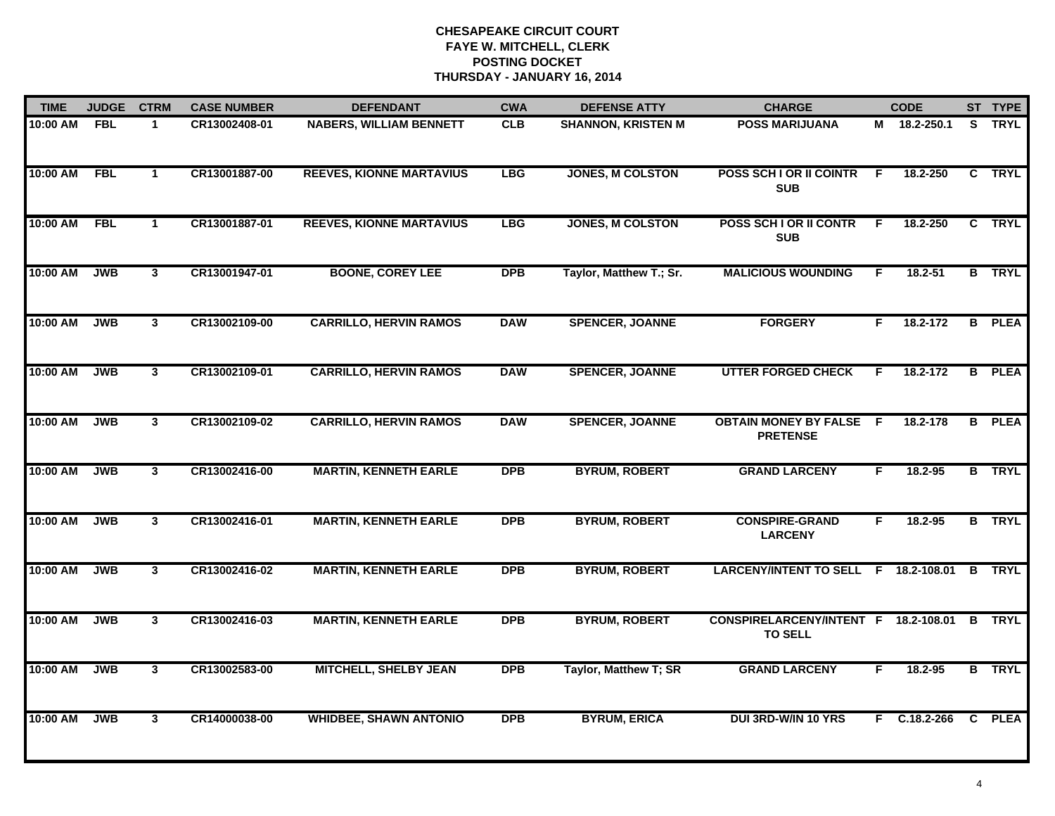| <b>TIME</b>  | <b>JUDGE</b> | <b>CTRM</b>    | <b>CASE NUMBER</b> | <b>DEFENDANT</b>                | <b>CWA</b> | <b>DEFENSE ATTY</b>       | <b>CHARGE</b>                                            |    | <b>CODE</b>  |   | ST TYPE       |
|--------------|--------------|----------------|--------------------|---------------------------------|------------|---------------------------|----------------------------------------------------------|----|--------------|---|---------------|
| 10:00 AM     | <b>FBL</b>   | $\mathbf 1$    | CR13002408-01      | <b>NABERS, WILLIAM BENNETT</b>  | <b>CLB</b> | <b>SHANNON, KRISTEN M</b> | <b>POSS MARIJUANA</b>                                    |    | M 18.2-250.1 |   | S TRYL        |
| 10:00 AM FBL |              | $\mathbf{1}$   | CR13001887-00      | <b>REEVES, KIONNE MARTAVIUS</b> | <b>LBG</b> | <b>JONES, M COLSTON</b>   | POSS SCH I OR II COINTR<br><b>SUB</b>                    | F. | 18.2-250     |   | C TRYL        |
| 10:00 AM FBL |              | $\mathbf{1}$   | CR13001887-01      | <b>REEVES, KIONNE MARTAVIUS</b> | <b>LBG</b> | <b>JONES, M COLSTON</b>   | POSS SCH I OR II CONTR<br><b>SUB</b>                     | F  | 18.2-250     |   | C TRYL        |
| 10:00 AM     | <b>JWB</b>   | 3              | CR13001947-01      | <b>BOONE, COREY LEE</b>         | <b>DPB</b> | Taylor, Matthew T.; Sr.   | <b>MALICIOUS WOUNDING</b>                                | E  | $18.2 - 51$  |   | <b>B</b> TRYL |
| 10:00 AM     | <b>JWB</b>   | $\mathbf{3}$   | CR13002109-00      | <b>CARRILLO, HERVIN RAMOS</b>   | <b>DAW</b> | <b>SPENCER, JOANNE</b>    | <b>FORGERY</b>                                           | F. | 18.2-172     |   | <b>B</b> PLEA |
| 10:00 AM     | <b>JWB</b>   | 3              | CR13002109-01      | <b>CARRILLO, HERVIN RAMOS</b>   | <b>DAW</b> | <b>SPENCER, JOANNE</b>    | <b>UTTER FORGED CHECK</b>                                | F. | 18.2-172     |   | <b>B</b> PLEA |
| 10:00 AM     | <b>JWB</b>   | $\overline{3}$ | CR13002109-02      | <b>CARRILLO, HERVIN RAMOS</b>   | <b>DAW</b> | <b>SPENCER, JOANNE</b>    | <b>OBTAIN MONEY BY FALSE F</b><br><b>PRETENSE</b>        |    | 18.2-178     |   | <b>B</b> PLEA |
| 10:00 AM     | <b>JWB</b>   | $\mathbf{3}$   | CR13002416-00      | <b>MARTIN, KENNETH EARLE</b>    | <b>DPB</b> | <b>BYRUM, ROBERT</b>      | <b>GRAND LARCENY</b>                                     | F  | 18.2-95      |   | <b>B</b> TRYL |
| 10:00 AM     | <b>JWB</b>   | $\mathbf{3}$   | CR13002416-01      | <b>MARTIN, KENNETH EARLE</b>    | <b>DPB</b> | <b>BYRUM, ROBERT</b>      | <b>CONSPIRE-GRAND</b><br><b>LARCENY</b>                  | F  | $18.2 - 95$  |   | <b>B</b> TRYL |
| 10:00 AM     | <b>JWB</b>   | $\mathbf{3}$   | CR13002416-02      | <b>MARTIN, KENNETH EARLE</b>    | <b>DPB</b> | <b>BYRUM, ROBERT</b>      | LARCENY/INTENT TO SELL F 18.2-108.01                     |    |              | B | <b>TRYL</b>   |
| 10:00 AM     | <b>JWB</b>   | $\mathbf{3}$   | CR13002416-03      | <b>MARTIN, KENNETH EARLE</b>    | <b>DPB</b> | <b>BYRUM, ROBERT</b>      | CONSPIRELARCENY/INTENT F 18.2-108.01 B<br><b>TO SELL</b> |    |              |   | <b>TRYL</b>   |
| 10:00 AM     | <b>JWB</b>   | $\overline{3}$ | CR13002583-00      | <b>MITCHELL, SHELBY JEAN</b>    | <b>DPB</b> | Taylor, Matthew T; SR     | <b>GRAND LARCENY</b>                                     | F. | 18.2-95      |   | <b>B</b> TRYL |
| 10:00 AM     | <b>JWB</b>   | $\mathbf{3}$   | CR14000038-00      | <b>WHIDBEE, SHAWN ANTONIO</b>   | <b>DPB</b> | <b>BYRUM, ERICA</b>       | <b>DUI 3RD-W/IN 10 YRS</b>                               |    | F C.18.2-266 |   | C PLEA        |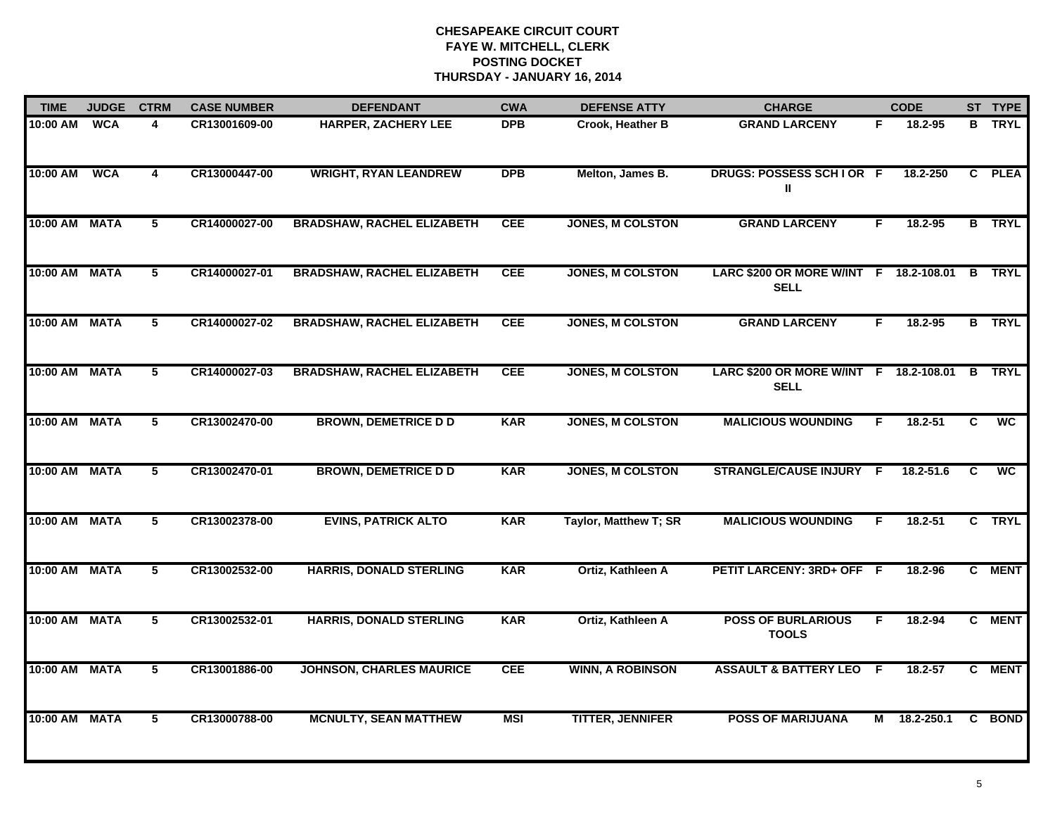| <b>TIME</b>          | <b>JUDGE</b> | <b>CTRM</b>    | <b>CASE NUMBER</b> | <b>DEFENDANT</b>                  | <b>CWA</b> | <b>DEFENSE ATTY</b>     | <b>CHARGE</b>                                         |     | <b>CODE</b> |   | ST TYPE       |
|----------------------|--------------|----------------|--------------------|-----------------------------------|------------|-------------------------|-------------------------------------------------------|-----|-------------|---|---------------|
| 10:00 AM             | <b>WCA</b>   | 4              | CR13001609-00      | <b>HARPER, ZACHERY LEE</b>        | <b>DPB</b> | <b>Crook, Heather B</b> | <b>GRAND LARCENY</b>                                  | F.  | 18.2-95     |   | <b>B</b> TRYL |
| 10:00 AM             | <b>WCA</b>   | 4              | CR13000447-00      | <b>WRIGHT, RYAN LEANDREW</b>      | <b>DPB</b> | Melton, James B.        | DRUGS: POSSESS SCHIOR F<br>Ш                          |     | 18.2-250    |   | C PLEA        |
| 10:00 AM MATA        |              | 5              | CR14000027-00      | <b>BRADSHAW, RACHEL ELIZABETH</b> | <b>CEE</b> | <b>JONES, M COLSTON</b> | <b>GRAND LARCENY</b>                                  | F   | 18.2-95     |   | <b>B</b> TRYL |
| <b>10:00 AM MATA</b> |              | 5              | CR14000027-01      | <b>BRADSHAW, RACHEL ELIZABETH</b> | <b>CEE</b> | <b>JONES, M COLSTON</b> | LARC \$200 OR MORE W/INT F 18.2-108.01<br><b>SELL</b> |     |             | B | <b>TRYL</b>   |
| 10:00 AM MATA        |              | 5              | CR14000027-02      | <b>BRADSHAW, RACHEL ELIZABETH</b> | <b>CEE</b> | <b>JONES, M COLSTON</b> | <b>GRAND LARCENY</b>                                  | F.  | $18.2 - 95$ |   | <b>B</b> TRYL |
| 10:00 AM MATA        |              | 5              | CR14000027-03      | <b>BRADSHAW, RACHEL ELIZABETH</b> | <b>CEE</b> | <b>JONES, M COLSTON</b> | LARC \$200 OR MORE W/INT F 18.2-108.01<br><b>SELL</b> |     |             | B | <b>TRYL</b>   |
| 10:00 AM MATA        |              | 5              | CR13002470-00      | <b>BROWN, DEMETRICE D D</b>       | <b>KAR</b> | <b>JONES, M COLSTON</b> | <b>MALICIOUS WOUNDING</b>                             | F   | 18.2-51     | C | <b>WC</b>     |
| 10:00 AM MATA        |              | $\overline{5}$ | CR13002470-01      | <b>BROWN, DEMETRICE D D</b>       | <b>KAR</b> | <b>JONES, M COLSTON</b> | <b>STRANGLE/CAUSE INJURY</b>                          | -F  | 18.2-51.6   | C | <b>WC</b>     |
| 10:00 AM MATA        |              | 5              | CR13002378-00      | <b>EVINS, PATRICK ALTO</b>        | <b>KAR</b> | Taylor, Matthew T; SR   | <b>MALICIOUS WOUNDING</b>                             | F   | $18.2 - 51$ |   | C TRYL        |
| 10:00 AM MATA        |              | 5              | CR13002532-00      | <b>HARRIS, DONALD STERLING</b>    | <b>KAR</b> | Ortiz, Kathleen A       | <b>PETIT LARCENY: 3RD+ OFF</b>                        | - F | 18.2-96     |   | C MENT        |
| 10:00 AM MATA        |              | 5              | CR13002532-01      | <b>HARRIS, DONALD STERLING</b>    | <b>KAR</b> | Ortiz, Kathleen A       | <b>POSS OF BURLARIOUS</b><br><b>TOOLS</b>             | F   | 18.2-94     |   | C MENT        |
| 10:00 AM MATA        |              | 5              | CR13001886-00      | <b>JOHNSON, CHARLES MAURICE</b>   | <b>CEE</b> | <b>WINN, A ROBINSON</b> | <b>ASSAULT &amp; BATTERY LEO F</b>                    |     | 18.2-57     | C | <b>MENT</b>   |
| 10:00 AM MATA        |              | 5              | CR13000788-00      | <b>MCNULTY, SEAN MATTHEW</b>      | <b>MSI</b> | <b>TITTER, JENNIFER</b> | <b>POSS OF MARIJUANA</b>                              | м   | 18.2-250.1  |   | C BOND        |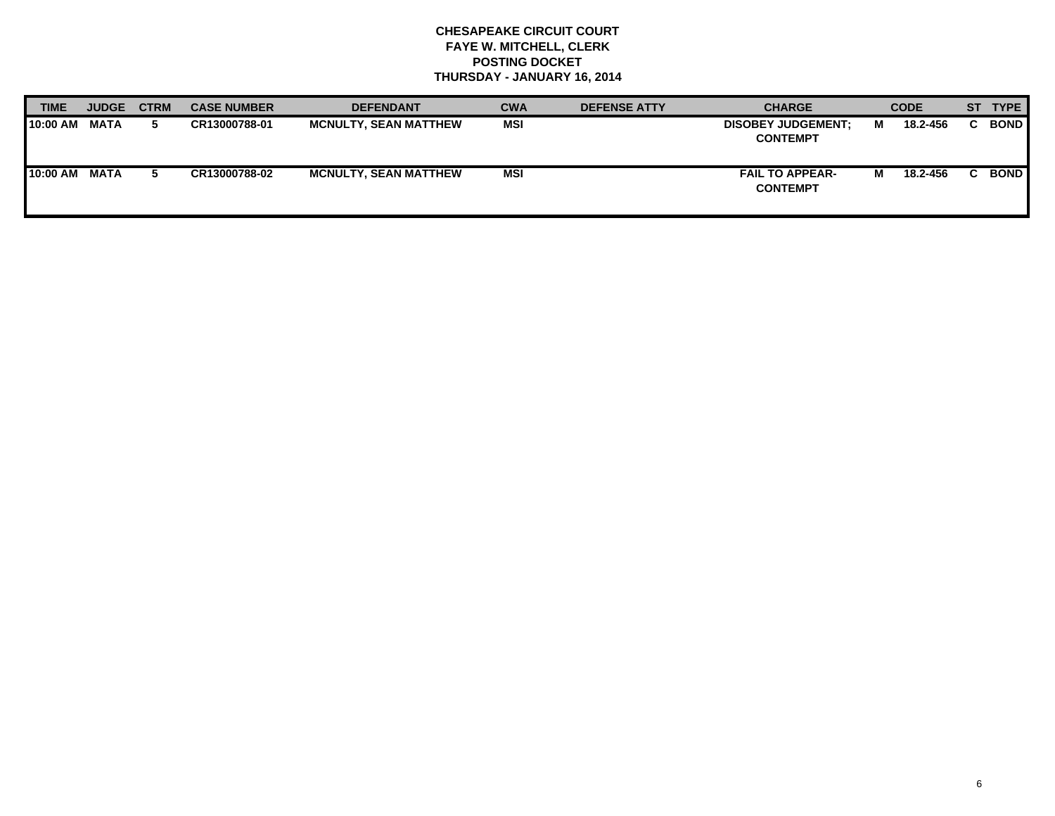| TIME     | <b>JUDGE</b> | <b>CTRM</b> | <b>CASE NUMBER</b> | <b>DEFENDANT</b>             | <b>CWA</b> | <b>DEFENSE ATTY</b> | <b>CHARGE</b>                                |   | <b>CODE</b> | <b>ST</b> | <b>TYPE</b> |
|----------|--------------|-------------|--------------------|------------------------------|------------|---------------------|----------------------------------------------|---|-------------|-----------|-------------|
| 10:00 AM | <b>MATA</b>  | b.          | CR13000788-01      | <b>MCNULTY, SEAN MATTHEW</b> | <b>MSI</b> |                     | <b>DISOBEY JUDGEMENT:</b><br><b>CONTEMPT</b> | м | 18.2-456    |           | <b>BOND</b> |
| 10:00 AM | <b>MATA</b>  |             | CR13000788-02      | <b>MCNULTY, SEAN MATTHEW</b> | <b>MSI</b> |                     | <b>FAIL TO APPEAR-</b><br><b>CONTEMPT</b>    | м | 18.2-456    |           | <b>BOND</b> |